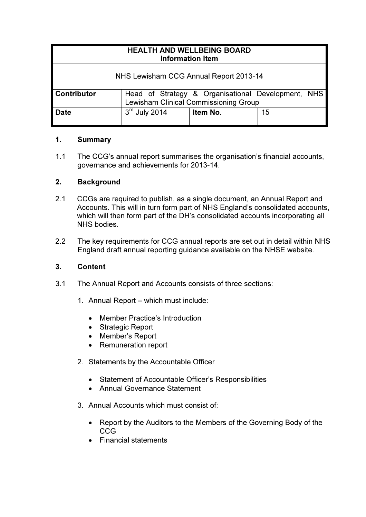| <b>HEALTH AND WELLBEING BOARD</b><br><b>Information Item</b> |                                                                                             |          |    |
|--------------------------------------------------------------|---------------------------------------------------------------------------------------------|----------|----|
| NHS Lewisham CCG Annual Report 2013-14                       |                                                                                             |          |    |
| <b>Contributor</b>                                           | Head of Strategy & Organisational Development, NHS<br>Lewisham Clinical Commissioning Group |          |    |
| <b>Date</b>                                                  | $3rd$ July 2014                                                                             | Item No. | 15 |

## 1. Summary

1.1 The CCG's annual report summarises the organisation's financial accounts, governance and achievements for 2013-14.

## 2. Background

- 2.1 CCGs are required to publish, as a single document, an Annual Report and Accounts. This will in turn form part of NHS England's consolidated accounts, which will then form part of the DH's consolidated accounts incorporating all NHS bodies.
- 2.2 The key requirements for CCG annual reports are set out in detail within NHS England draft annual reporting guidance available on the NHSE website.

## 3. Content

- 3.1 The Annual Report and Accounts consists of three sections:
	- 1. Annual Report which must include:
		- Member Practice's Introduction
		- Strategic Report
		- Member's Report
		- Remuneration report
	- 2. Statements by the Accountable Officer
		- Statement of Accountable Officer's Responsibilities
		- Annual Governance Statement
	- 3. Annual Accounts which must consist of:
		- Report by the Auditors to the Members of the Governing Body of the CCG
		- Financial statements